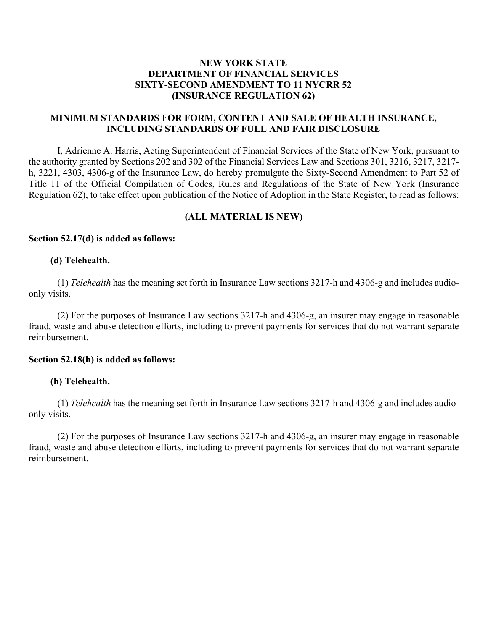# **NEW YORK STATE DEPARTMENT OF FINANCIAL SERVICES SIXTY-SECOND AMENDMENT TO 11 NYCRR 52 (INSURANCE REGULATION 62)**

# **MINIMUM STANDARDS FOR FORM, CONTENT AND SALE OF HEALTH INSURANCE, INCLUDING STANDARDS OF FULL AND FAIR DISCLOSURE**

I, Adrienne A. Harris, Acting Superintendent of Financial Services of the State of New York, pursuant to the authority granted by Sections 202 and 302 of the Financial Services Law and Sections 301, 3216, 3217, 3217 h, 3221, 4303, 4306-g of the Insurance Law, do hereby promulgate the Sixty-Second Amendment to Part 52 of Title 11 of the Official Compilation of Codes, Rules and Regulations of the State of New York (Insurance Regulation 62), to take effect upon publication of the Notice of Adoption in the State Register, to read as follows:

# **(ALL MATERIAL IS NEW)**

## **Section 52.17(d) is added as follows:**

#### **(d) Telehealth.**

(1) *Telehealth* has the meaning set forth in Insurance Law sections 3217-h and 4306-g and includes audioonly visits.

(2) For the purposes of Insurance Law sections 3217-h and 4306-g, an insurer may engage in reasonable fraud, waste and abuse detection efforts, including to prevent payments for services that do not warrant separate reimbursement.

## **Section 52.18(h) is added as follows:**

## **(h) Telehealth.**

(1) *Telehealth* has the meaning set forth in Insurance Law sections 3217-h and 4306-g and includes audioonly visits.

(2) For the purposes of Insurance Law sections 3217-h and 4306-g, an insurer may engage in reasonable fraud, waste and abuse detection efforts, including to prevent payments for services that do not warrant separate reimbursement.